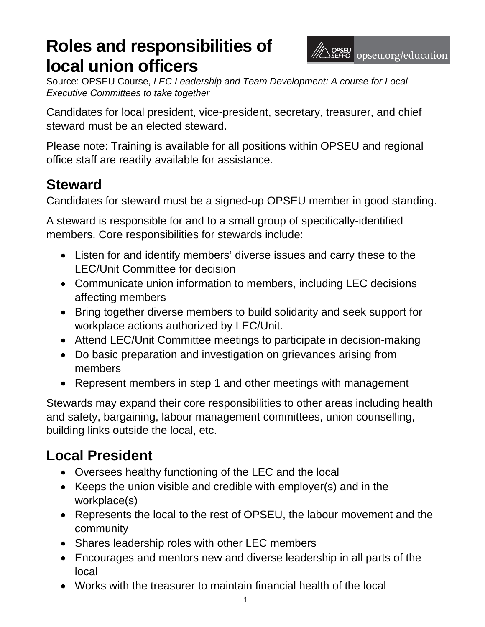# **Roles and responsibilities of local union officers**

Source: OPSEU Course, *LEC Leadership and Team Development: A course for Local Executive Committees to take together*

Candidates for local president, vice-president, secretary, treasurer, and chief steward must be an elected steward.

Please note: Training is available for all positions within OPSEU and regional office staff are readily available for assistance.

#### **Steward**

Candidates for steward must be a signed-up OPSEU member in good standing.

A steward is responsible for and to a small group of specifically-identified members. Core responsibilities for stewards include:

- Listen for and identify members' diverse issues and carry these to the LEC/Unit Committee for decision
- Communicate union information to members, including LEC decisions affecting members
- Bring together diverse members to build solidarity and seek support for workplace actions authorized by LEC/Unit.
- Attend LEC/Unit Committee meetings to participate in decision-making
- Do basic preparation and investigation on grievances arising from members
- Represent members in step 1 and other meetings with management

Stewards may expand their core responsibilities to other areas including health and safety, bargaining, labour management committees, union counselling, building links outside the local, etc.

# **Local President**

- Oversees healthy functioning of the LEC and the local
- Keeps the union visible and credible with employer(s) and in the workplace(s)
- Represents the local to the rest of OPSEU, the labour movement and the community
- Shares leadership roles with other LEC members
- Encourages and mentors new and diverse leadership in all parts of the local
- Works with the treasurer to maintain financial health of the local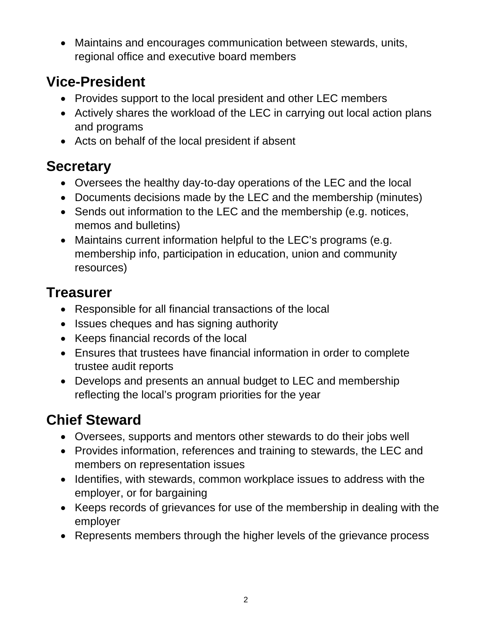Maintains and encourages communication between stewards, units, regional office and executive board members

### **Vice-President**

- Provides support to the local president and other LEC members
- Actively shares the workload of the LEC in carrying out local action plans and programs
- Acts on behalf of the local president if absent

### **Secretary**

- Oversees the healthy day-to-day operations of the LEC and the local
- Documents decisions made by the LEC and the membership (minutes)
- Sends out information to the LEC and the membership (e.g. notices, memos and bulletins)
- Maintains current information helpful to the LEC's programs (e.g. membership info, participation in education, union and community resources)

### **Treasurer**

- Responsible for all financial transactions of the local
- Issues cheques and has signing authority
- Keeps financial records of the local
- Ensures that trustees have financial information in order to complete trustee audit reports
- Develops and presents an annual budget to LEC and membership reflecting the local's program priorities for the year

# **Chief Steward**

- Oversees, supports and mentors other stewards to do their jobs well
- Provides information, references and training to stewards, the LEC and members on representation issues
- Identifies, with stewards, common workplace issues to address with the employer, or for bargaining
- Keeps records of grievances for use of the membership in dealing with the employer
- Represents members through the higher levels of the grievance process